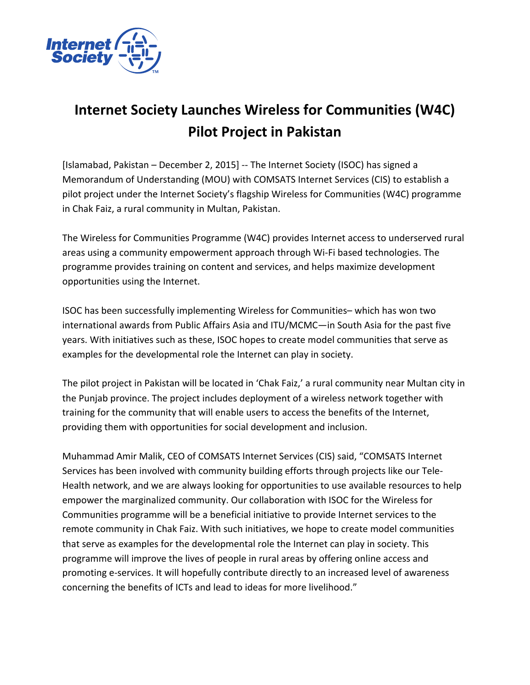

## **Internet Society Launches Wireless for Communities (W4C) Pilot Project in Pakistan**

[Islamabad, Pakistan – December 2, 2015] -- The Internet Society (ISOC) has signed a Memorandum of Understanding (MOU) with COMSATS Internet Services (CIS) to establish a pilot project under the Internet Society's flagship Wireless for Communities (W4C) programme in Chak Faiz, a rural community in Multan, Pakistan.

The Wireless for Communities Programme (W4C) provides Internet access to underserved rural areas using a community empowerment approach through Wi-Fi based technologies. The programme provides training on content and services, and helps maximize development opportunities using the Internet.

ISOC has been successfully implementing Wireless for Communities– which has won two international awards from Public Affairs Asia and ITU/MCMC—in South Asia for the past five years. With initiatives such as these, ISOC hopes to create model communities that serve as examples for the developmental role the Internet can play in society.

The pilot project in Pakistan will be located in 'Chak Faiz,' a rural community near Multan city in the Punjab province. The project includes deployment of a wireless network together with training for the community that will enable users to access the benefits of the Internet, providing them with opportunities for social development and inclusion.

Muhammad Amir Malik, CEO of COMSATS Internet Services (CIS) said, "COMSATS Internet Services has been involved with community building efforts through projects like our Tele-Health network, and we are always looking for opportunities to use available resources to help empower the marginalized community. Our collaboration with ISOC for the Wireless for Communities programme will be a beneficial initiative to provide Internet services to the remote community in Chak Faiz. With such initiatives, we hope to create model communities that serve as examples for the developmental role the Internet can play in society. This programme will improve the lives of people in rural areas by offering online access and promoting e-services. It will hopefully contribute directly to an increased level of awareness concerning the benefits of ICTs and lead to ideas for more livelihood."